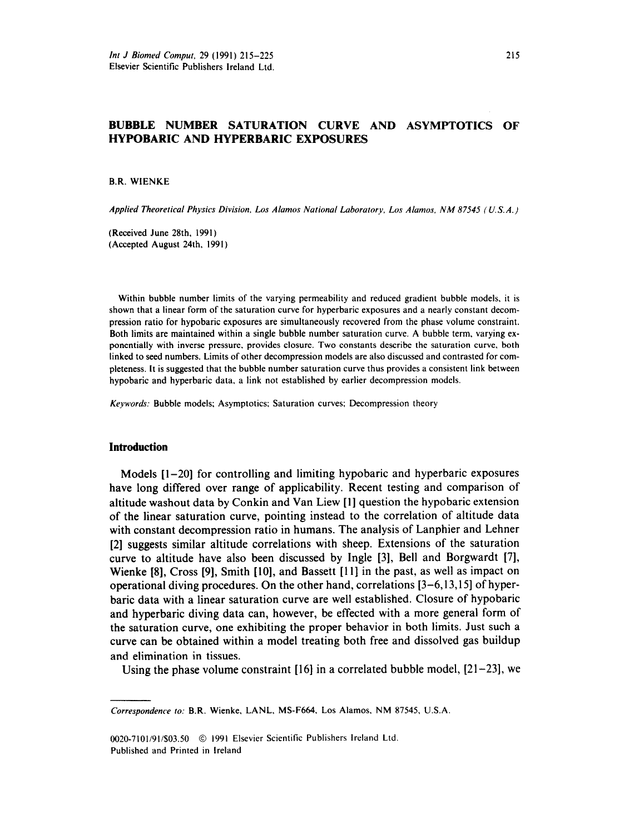# **BUBBLE NUMBER SATURATION CURVE AND ASYMPTOTICS OF HYPOBARIC AND HYPERBARIC EXPOSURES**

B.R. WIENKE

*Applied Theoretical Physics Division, Los Alamos National Laboratory, Los Alamos. NM 87545 (U.S. A.)* 

(Received June 28th. 1991) (Accepted August 24th, 1991)

Within bubble number limits of the varying permeability and reduced gradient bubble models, it is shown that a linear form of the saturation curve for hyperbaric exposures and a nearly constant decompression ratio for hypobaric exposures are simultaneously recovered from the phase volume constraint. Both limits are maintained within a single bubble number saturation curve. A bubble term, varying exponentially with inverse pressure, provides closure. Two constants describe the saturation curve, both linked to seed numbers. Limits of other decompression models are also discussed and contrasted for completeness. It is suggested that the bubble number saturation curve thus provides a consistent link between hypobaric and hyperbaric data, a link not established by earlier decompression models.

*Keywords:* Bubble models; Asymptotics; Saturation curves; Decompression theory

## **Introduction**

Models [l-20] for controlling and limiting hypobaric and hyperbaric exposures have long differed over range of applicability. Recent testing and comparison of altitude washout data by Conkin and Van Liew [l] question the hypobaric extension of the linear saturation curve, pointing instead to the correlation of altitude data with constant decompression ratio in humans. The analysis of Lanphier and Lehner [2] suggests similar altitude correlations with sheep. Extensions of the saturation curve to altitude have also been discussed by Ingle [3], Bell and Borgwardt [7], Wienke [8], Cross [9], Smith [10], and Bassett [11] in the past, as well as impact on operational diving procedures. On the other hand, correlations [3-6,13,15] of hyperbaric data with a linear saturation curve are well established. Closure of hypobaric and hyperbaric diving data can, however, be effected with a more general form of the saturation curve, one exhibiting the proper behavior in both limits, Just such a curve can be obtained within a model treating both free and dissolved gas buildup and elimination in tissues.

Using the phase volume constraint  $[16]$  in a correlated bubble model,  $[21-23]$ , we

0020-7101/91/\$03.50 © 1991 Elsevier Scientific Publishers Ireland Ltd. Published and Printed in Ireland

*Correspondence to:* B.R. Wienke, LANL, MS-F664. Los Alamos. NM 87545, U.S.A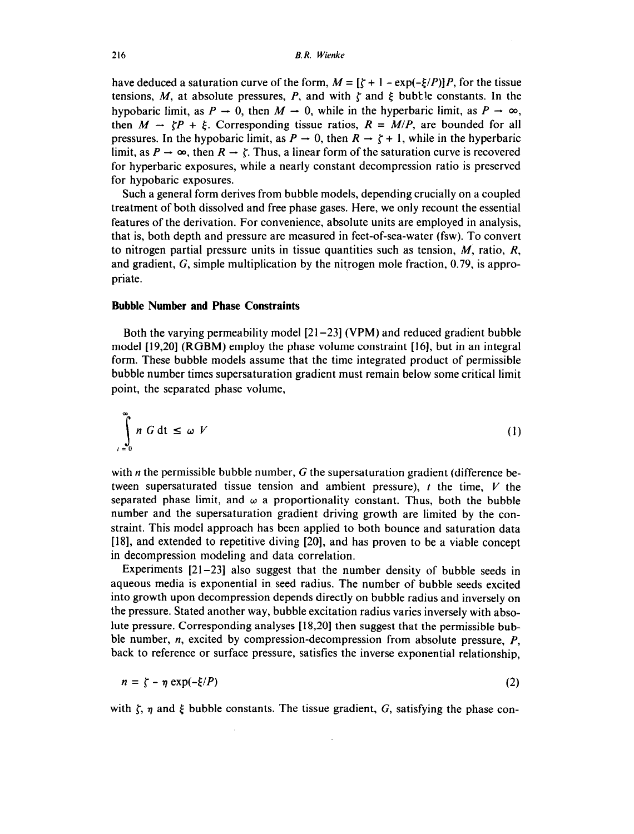have deduced a saturation curve of the form,  $M = [\zeta + 1 - \exp(-\zeta/P)]P$ , for the tissue tensions, *M*, at absolute pressures, *P*, and with  $\zeta$  and  $\xi$  bubtle constants. In the hypobaric limit, as  $P \to 0$ , then  $M \to 0$ , while in the hyperbaric limit, as  $P \to \infty$ , then  $M \rightarrow \zeta P + \xi$ . Corresponding tissue ratios,  $R = M/P$ , are bounded for all pressures. In the hypobaric limit, as  $P \rightarrow 0$ , then  $R \rightarrow \zeta + 1$ , while in the hyperbaric limit, as  $P \to \infty$ , then  $R \to \zeta$ . Thus, a linear form of the saturation curve is recovered for hyperbaric exposures, while a nearly constant decompression ratio is preserved for hypobaric exposures.

Such a general form derives from bubble models, depending crucially on a coupled treatment of both dissolved and free phase gases. Here, we only recount the essential features of the derivation. For convenience, absolute units are employed in analysis, that is, both depth and pressure are measured in feet-of-sea-water (fsw). To convert to nitrogen partial pressure units in tissue quantities such as tension, M, ratio, *R,*  and gradient, G, simple multiplication by the nitrogen mole fraction, 0.79, is appropriate.

### **Bubble Number and Phase Constraints**

Both the varying permeability model [21-231 (VPM) and reduced gradient bubble model [19,20] (RGBM) employ the phase volume constraint [16], but in an integral form. These bubble models assume that the time integrated product of permissible bubble number times supersaturation gradient must remain below some critical limit point, the separated phase volume,

$$
\int_{\ell=0}^{\infty} n G dt \leq \omega V \tag{1}
$$

with  $n$  the permissible bubble number,  $G$  the supersaturation gradient (difference between supersaturated tissue tension and ambient pressure),  $t$  the time,  $V$  the separated phase limit, and  $\omega$  a proportionality constant. Thus, both the bubble number and the supersaturation gradient driving growth are limited by the constraint. This model approach has been applied to both bounce and saturation data [18], and extended to repetitive diving [20], and has proven to be a viable concept in decompression modeling and data correlation.

Experiments [21-231 also suggest that the number density of bubble seeds in aqueous media is exponential in seed radius. The number of bubble seeds excited into growth upon decompression depends directly on bubble radius and inversely on the pressure. Stated another way, bubble excitation radius varies inversely with absolute pressure. Corresponding analyses [18,201 then suggest that the permissible bubble number, n, excited by compression-decompression from absolute pressure, *P,*  back to reference or surface pressure, satisfies the inverse exponential relationship,

$$
n = \zeta - \eta \exp(-\xi/P) \tag{2}
$$

with  $\zeta$ ,  $\eta$  and  $\xi$  bubble constants. The tissue gradient, G, satisfying the phase con-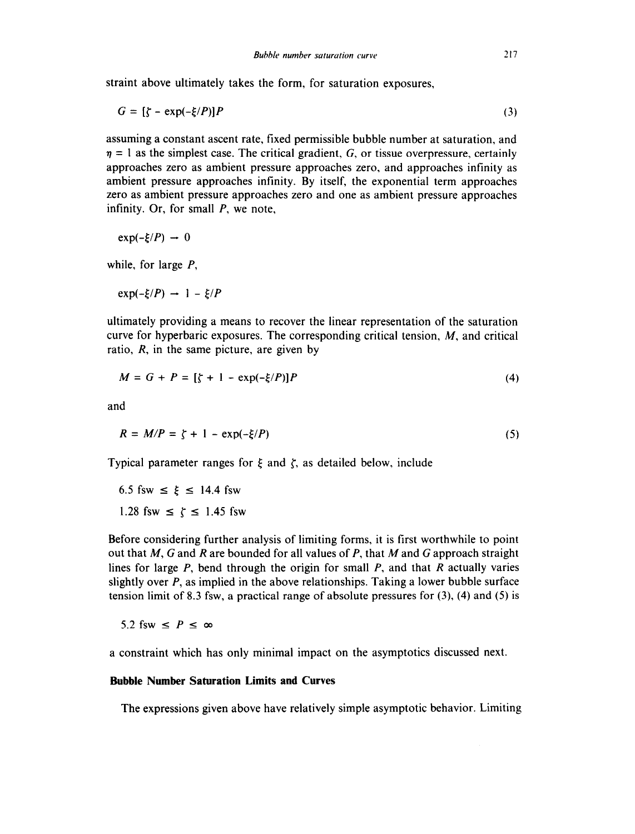straint above ultimately takes the form, for saturation exposures,

$$
G = \left[\zeta - \exp(-\xi/P)\right]P\tag{3}
$$

assuming a constant ascent rate, fixed permissible bubble number at saturation, and  $\eta = 1$  as the simplest case. The critical gradient, G, or tissue overpressure, certainly approaches zero as ambient pressure approaches zero, and approaches infinity as ambient pressure approaches infinity. By itself, the exponential term approaches zero as ambient pressure approaches zero and one as ambient pressure approaches infinity. Or, for small *P, we* note,

$$
\exp(-\xi/P) \rightarrow 0
$$

while, for large *P,* 

 $exp(-\xi/P) \to 1 - \xi/P$ 

ultimately providing a means to recover the linear representation of the saturation curve for hyperbaric exposures. The corresponding critical tension, M, and critical ratio, *R,* in the same picture, are given by

$$
M = G + P = [\zeta + 1 - \exp(-\xi/P)]P
$$
 (4)

and

$$
R = M/P = \zeta + 1 - \exp(-\xi/P)
$$
 (5)

Typical parameter ranges for  $\xi$  and  $\zeta$ , as detailed below, include

6.5 fsw  $\le \xi \le 14.4$  fsw 1.28 fsw  $\le \zeta \le 1.45$  fsw

Before considering further analysis of limiting forms, it is first worthwhile to point out that *M, G* and *R* are bounded for all values of *P,* that *M* and G approach straight lines for large *P,* bend through the origin for small *P,* and that *R* actually varies slightly over *P,* as implied in the above relationships. Taking a lower bubble surface tension limit of 8.3 fsw, a practical range of absolute pressures for  $(3)$ ,  $(4)$  and  $(5)$  is

5.2 fsw  $\leq P \leq \infty$ 

a constraint which has only minimal impact on the asymptotics discussed next.

## **Bubble Number Saturation Limits and Curves**

The expressions given above have relatively simple asymptotic behavior. Limiting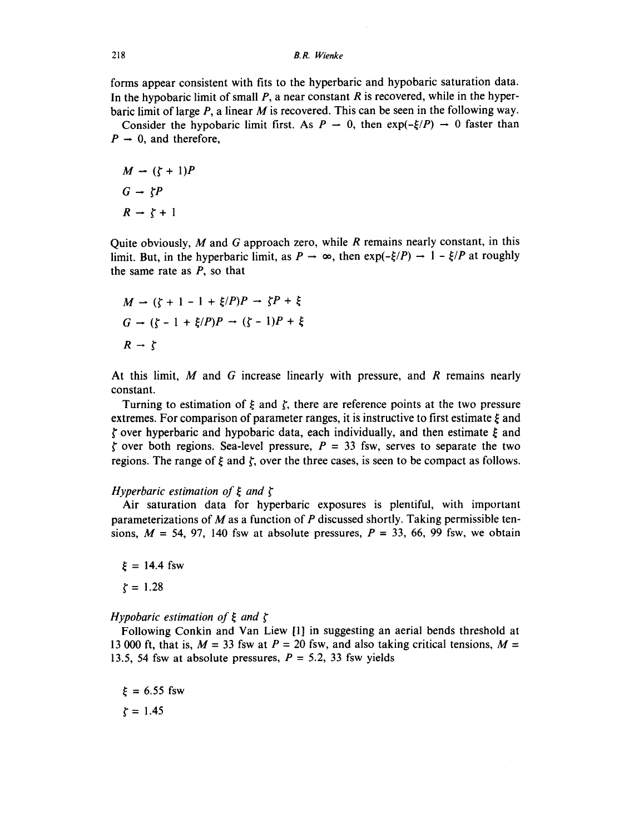#### **218 B.** *R. Wienke*

forms appear consistent with fits to the hyperbaric and hypobaric saturation data. In the hypobaric limit of small *P,* a near constant *R* is recovered, while in the hyperbaric limit of large *P,* a linear M is recovered. This can be seen in the following way.

Consider the hypobaric limit first. As  $P - 0$ , then  $exp(-\xi/P) \rightarrow 0$  faster than  $P \rightarrow 0$ , and therefore,

$$
M \rightarrow (\zeta + 1)P
$$

$$
G \rightarrow \zeta P
$$

$$
R \rightarrow \zeta + 1
$$

Quite obviously, M and G approach zero, while *R* remains nearly constant, in this limit. But, in the hyperbaric limit, as  $P \to \infty$ , then  $exp(-\xi/P) \to 1 - \xi/P$  at roughly the same rate as *P, so* that

$$
M \to (\zeta + 1 - 1 + \xi/P)P \to \zeta P + \xi
$$
  
\n
$$
G \to (\zeta - 1 + \xi/P)P \to (\zeta - 1)P + \xi
$$
  
\n
$$
R \to \zeta
$$

At this limit, *M* and G increase linearly with pressure, and *R* remains nearly constant.

Turning to estimation of  $\xi$  and  $\zeta$ , there are reference points at the two pressure extremes. For comparison of parameter ranges, it is instructive to first estimate  $\xi$  and  $\zeta$  over hyperbaric and hypobaric data, each individually, and then estimate  $\xi$  and  $\zeta$  over both regions. Sea-level pressure,  $P = 33$  fsw, serves to separate the two regions. The range of  $\xi$  and  $\zeta$ , over the three cases, is seen to be compact as follows.

## *Hyperbaric estimation of*  $\xi$  *and*  $\zeta$

Air saturation data for hyperbaric exposures is plentiful, with important parameterizations of *M* as a function of *P* discussed shortly. Taking permissible tensions,  $M = 54$ , 97, 140 fsw at absolute pressures,  $P = 33$ , 66, 99 fsw, we obtain

 $\xi = 14.4$  fsw  $\zeta = 1.28$ 

*Hypobaric estimation of*  $\xi$  *and*  $\zeta$ 

Following Conkin and Van Liew [l] in suggesting an aerial bends threshold at 13 000 ft, that is,  $M = 33$  fsw at  $P = 20$  fsw, and also taking critical tensions,  $M =$ 13.5, 54 fsw at absolute pressures,  $P = 5.2$ , 33 fsw yields

 $\xi = 6.55$  fsw  $\zeta = 1.45$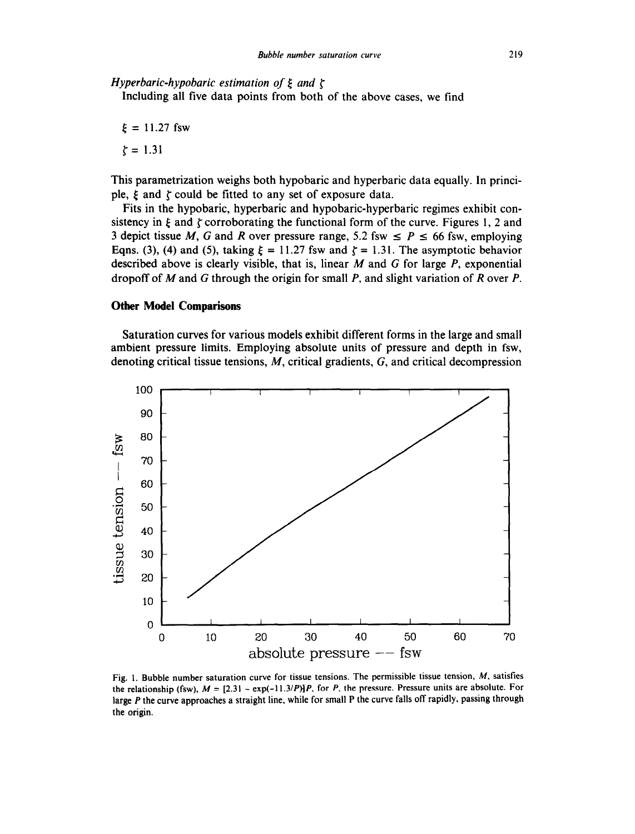*Hyperbaric-hypobaric estimation of ξ and ζ* 

Including all five data points from both of the above cases, we find

 $\xi = 11.27$  fsw  $\zeta = 1.31$ 

This parametrization weighs both hypobaric and hyperbaric data equally. In principle,  $\xi$  and  $\zeta$  could be fitted to any set of exposure data.

Fits in the hypobaric, hyperbaric and hypobaric-hyperbaric regimes exhibit consistency in  $\xi$  and  $\zeta$  corroborating the functional form of the curve. Figures 1, 2 and 3 depict tissue *M, G* and *R* over pressure range, 5.2 fsw  $\leq P \leq 66$  fsw, employing Eqns. (3), (4) and (5), taking  $\xi = 11.27$  fsw and  $\zeta = 1.31$ . The asymptotic behavior described above is clearly visible, that is, linear *M* and G for large *P,* exponential dropoff of *M* and G through the origin for small *P,* and slight variation of *R* over *P.* 

## **Other Model Comparisons**

Saturation curves for various models exhibit different forms in the large and small ambient pressure limits. Employing absolute units of pressure and depth in fsw, denoting critical tissue tensions, *M,* critical gradients, G, and critical decompression



Fig. 1. Bubble number saturation curve for tissue tensions. The permissible tissue tension, M, satisfies the relationship (fsw),  $M = [2.31 - exp(-11.3/P)]P$ , for P, the pressure. Pressure units are absolute. For large P the curve approaches a straight line, while for small P the curve falls off rapidly, passing through the origin.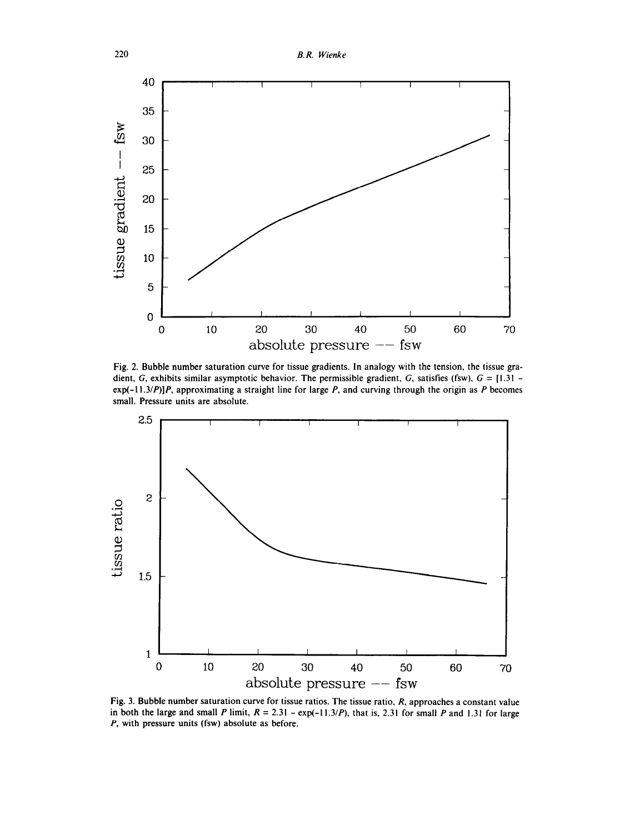

Fig. *2.* Bubble number saturation curve for tissue gradients. In analogy with the tension. the tissue gradient, G, exhibits similar asymptotic behavior. The permissible gradient, G, satisfies (fsw),  $G = [1.31$ exp(-I l.3/P)]P, approximating a straight line for large P, and curving through the origin as *P* becomes small. Pressure units are absolute.



Fig. 3. Bubble number saturation curve for tissue ratios. The tissue ratio, *R,* approaches a constant value in both the large and small P limit,  $R = 2.31 - \exp(-11.3/P)$ , that is, 2.31 for small P and 1.31 for large *P*, with pressure units (fsw) absolute as before.

220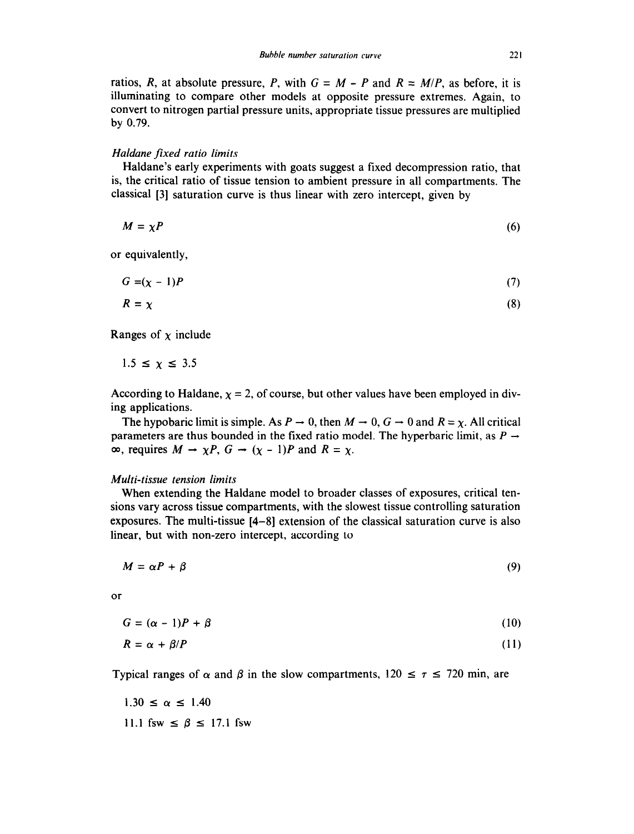ratios, *R*, at absolute pressure, *P*, with  $G = M - P$  and  $R = M/P$ , as before, it is illuminating to compare other models at opposite pressure extremes. Again, to convert to nitrogen partial pressure units, appropriate tissue pressures are multiplied by 0.79.

#### *Haldane fixed ratio limits*

Haldane's early experiments with goats suggest a fixed decompression ratio, that is, the critical ratio of tissue tension to ambient pressure in all compartments. The classical [3] saturation curve is thus linear with zero intercept, given by

$$
M = \chi P \tag{6}
$$

or equivalently,

$$
G = (\chi - 1)P \tag{7}
$$

$$
R = \chi \tag{8}
$$

Ranges of  $\chi$  include

$$
1.5 \leq \chi \leq 3.5
$$

According to Haldane,  $x = 2$ , of course, but other values have been employed in diving applications.

The hypobaric limit is simple. As  $P \to 0$ , then  $M \to 0$ ,  $G \to 0$  and  $R = \chi$ . All critical parameters are thus bounded in the fixed ratio model. The hyperbaric limit, as  $P \rightarrow$  $\infty$ , requires  $M \to \chi P$ ,  $G \to (\chi - 1)P$  and  $R = \chi$ .

#### *Multi-tissue tension limits*

When extending the Haldane model to broader classes of exposures, critical tensions vary across tissue compartments, with the slowest tissue controlling saturation exposures. The multi-tissue [4-81 extension of the classical saturation curve is also linear, but with non-zero intercept, according to

$$
M = \alpha P + \beta \tag{9}
$$

or

$$
G = (\alpha - 1)P + \beta \tag{10}
$$

$$
R = \alpha + \beta / P \tag{11}
$$

Typical ranges of  $\alpha$  and  $\beta$  in the slow compartments,  $120 \le \tau \le 720$  min, are

 $1.30 \le \alpha \le 1.40$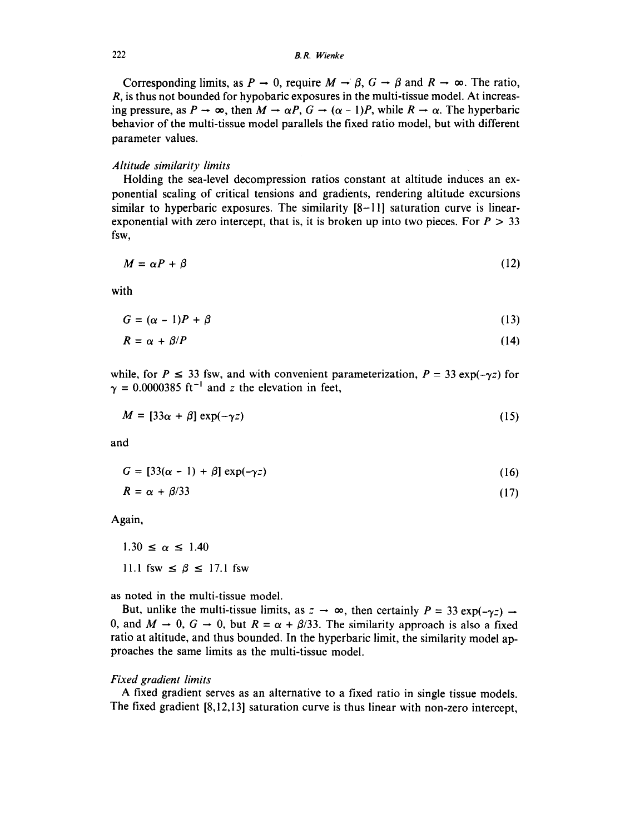# *222 B. R. Wienke*

Corresponding limits, as  $P \to 0$ , require  $M \to \beta$ ,  $G \to \beta$  and  $R \to \infty$ . The ratio, *R,* is thus not bounded for hypobaric exposures in the multi-tissue model. At increasing pressure, as  $P \to \infty$ , then  $M \to \alpha P$ ,  $G \to (\alpha - 1)P$ , while  $R \to \alpha$ . The hyperbaric behavior of the multi-tissue model parallels the fixed ratio model, but with different parameter values.

## *Altitude similarity limits*

Holding the sea-level decompression ratios constant at altitude induces an exponential scaling of critical tensions and gradients, rendering altitude excursions similar to hyperbaric exposures. The similarity  $[8-11]$  saturation curve is linearexponential with zero intercept, that is, it is broken up into two pieces. For  $P > 33$ fsw,

$$
M = \alpha P + \beta \tag{12}
$$

with

$$
G = (\alpha - 1)P + \beta \tag{13}
$$

$$
R = \alpha + \beta / P \tag{14}
$$

while, for  $P \le 33$  fsw, and with convenient parameterization,  $P = 33 \exp(-\gamma z)$  for  $\gamma = 0.0000385$  ft<sup>-1</sup> and z the elevation in feet,

$$
M = [33\alpha + \beta] \exp(-\gamma z) \tag{15}
$$

and

$$
G = [33(\alpha - 1) + \beta] \exp(-\gamma z) \tag{16}
$$

$$
R = \alpha + \beta/33 \tag{17}
$$

Again,

 $1.30 \le \alpha \le 1.40$ 11.1 fsw  $\leq \beta \leq 17.1$  fsw

as noted in the multi-tissue model.

But, unlike the multi-tissue limits, as  $z \to \infty$ , then certainly  $P = 33 \exp(-\gamma z) \to$ 0, and  $M \to 0$ ,  $G \to 0$ , but  $R = \alpha + \beta/33$ . The similarity approach is also a fixed ratio at altitude, and thus bounded. In the hyperbaric limit, the similarity model approaches the same limits as the multi-tissue model.

## *Fixed gradient limits*

A fixed gradient serves as an alternative to a fixed ratio in single tissue models. The fixed gradient [8,12,13] saturation curve is thus linear with non-zero intercept,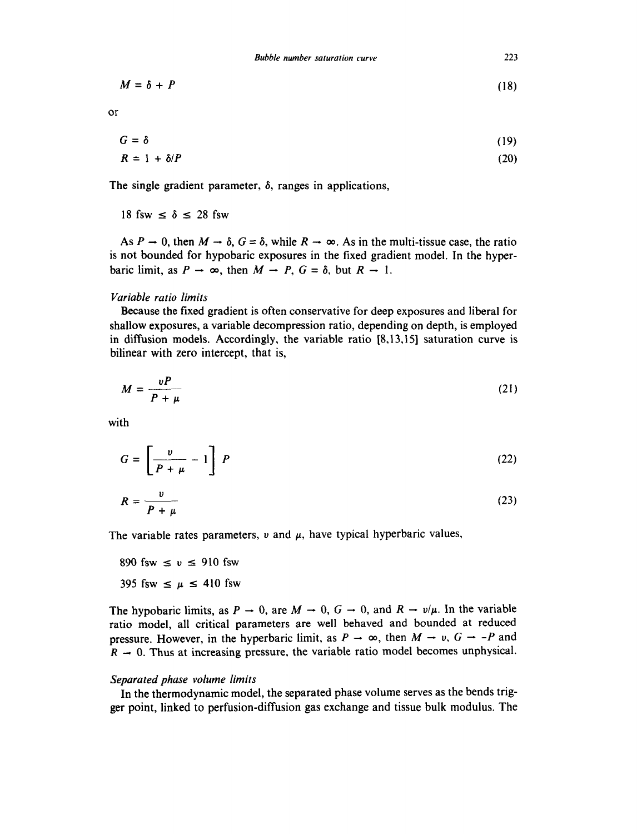$$
M = \delta + P \tag{18}
$$

or

$$
G = \delta \tag{19}
$$
  

$$
R = 1 + \delta/P \tag{20}
$$

The single gradient parameter, 
$$
\delta
$$
, ranges in applications,

18 fsw  $\leq \delta \leq 28$  fsw

As  $P \to 0$ , then  $M \to \delta$ ,  $G = \delta$ , while  $R \to \infty$ . As in the multi-tissue case, the ratio is not bounded for hypobaric exposures in the fixed gradient model. In the hyperbaric limit, as  $P \to \infty$ , then  $M \to P$ ,  $G = \delta$ , but  $R \to 1$ .

#### *Variable ratio limits*

Because the fixed gradient is often conservative for deep exposures and liberal for shallow exposures, a variable decompression ratio, depending on depth, is employed in diffusion models. Accordingly, the variable ratio [8,13,15] saturation curve is bilinear with zero intercept, that is,

$$
M = \frac{\nu P}{P + \mu} \tag{21}
$$

with

$$
G = \left[\frac{v}{P + \mu} - 1\right] P \tag{22}
$$

$$
R = \frac{v}{P + \mu} \tag{23}
$$

The variable rates parameters,  $\nu$  and  $\mu$ , have typical hyperbaric values,

890 fsw  $\leq v \leq 910$  fsw

395 fsw  $\leq \mu \leq 410$  fsw

The hypobaric limits, as  $P \to 0$ , are  $M \to 0$ ,  $G \to 0$ , and  $R \to \nu/\mu$ . In the variable ratio model, all critical parameters are well behaved and bounded at reduced pressure. However, in the hyperbaric limit, as  $P \to \infty$ , then  $M \to v$ ,  $G \to -P$  and  $R - 0$ . Thus at increasing pressure, the variable ratio model becomes unphysical.

#### *Separated phase volume limits*

In the thermodynamic model, the separated phase volume serves as the bends trigger point, linked to perfusion-diffusion gas exchange and tissue bulk modulus. The

*223*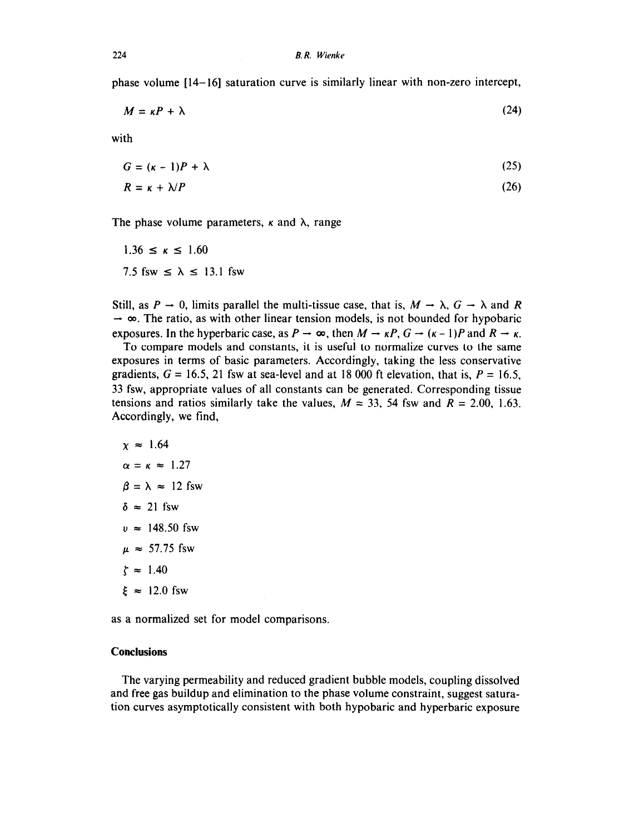phase volume [14-161 saturation curve is similarly linear with non-zero intercept,

$$
M = \kappa P + \lambda \tag{24}
$$

with

$$
G = (\kappa - 1)P + \lambda \tag{25}
$$

$$
R = \kappa + \lambda / P \tag{26}
$$

The phase volume parameters,  $\kappa$  and  $\lambda$ , range

 $1.36 \le \kappa \le 1.60$ 7.5 fsw  $\leq \lambda \leq 13.1$  fsw

Still, as  $P \to 0$ , limits parallel the multi-tissue case, that is,  $M \to \lambda$ ,  $G \to \lambda$  and *R*  $\rightarrow \infty$ . The ratio, as with other linear tension models, is not bounded for hypobaric exposures. In the hyperbaric case, as  $P \to \infty$ , then  $M \to \kappa P$ ,  $G \to (\kappa - 1)P$  and  $R \to \kappa$ .

To compare models and constants, it is useful to normalize curves to the same exposures in terms of basic parameters. Accordingly, taking the less conservative gradients,  $G = 16.5$ , 21 fsw at sea-level and at 18 000 ft elevation, that is,  $P = 16.5$ , 33 fsw, appropriate values of all constants can be generated. Corresponding tissue tensions and ratios similarly take the values,  $M = 33$ , 54 fsw and  $R = 2.00$ , 1.63. Accordingly, we find,

 $x \approx 1.64$  $\alpha = \kappa \approx 1.27$  $\beta = \lambda \approx 12$  fsw  $\delta \approx 21$  fsw  $v \approx 148.50$  fsw  $\mu \approx 57.75$  fsw  $\zeta \approx 1.40$  $\xi \approx 12.0$  fsw

as a normalized set for model comparisons.

## **Conclusions**

The varying permeability and reduced gradient bubble models, coupling dissolved and free gas buildup and elimination to the phase volume constraint, suggest saturation curves asymptotically consistent with both hypobaric and hyperbaric exposure